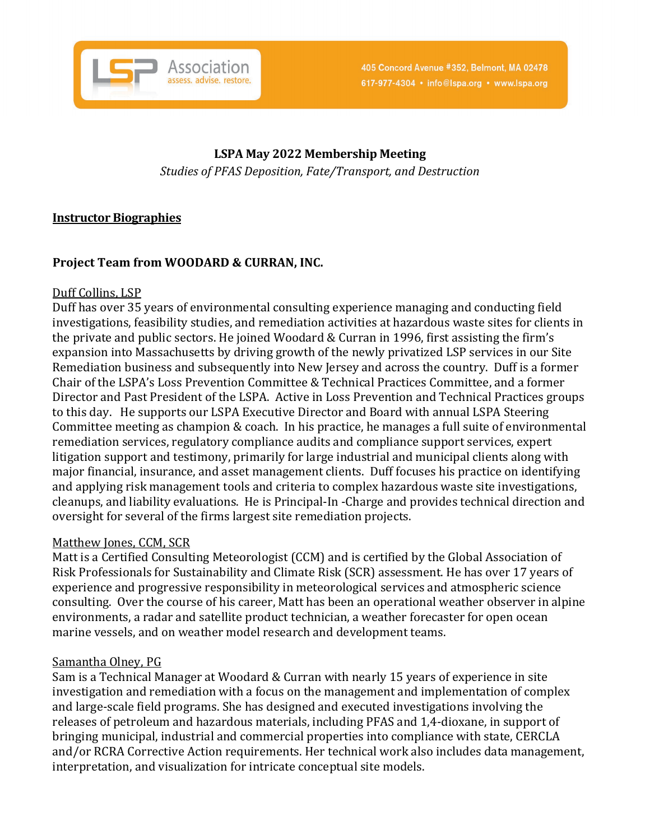

# **LSPA May 2022 Membership Meeting**

*Studies of PFAS Deposition, Fate/Transport, and Destruction*

### **Instructor Biographies**

## **Project Team from WOODARD & CURRAN, INC.**

#### Duff Collins, LSP

Duff has over 35 years of environmental consulting experience managing and conducting field investigations, feasibility studies, and remediation activities at hazardous waste sites for clients in the private and public sectors. He joined Woodard & Curran in 1996, first assisting the firm's expansion into Massachusetts by driving growth of the newly privatized LSP services in our Site Remediation business and subsequently into New Jersey and across the country. Duff is a former Chair of the LSPA's Loss Prevention Committee & Technical Practices Committee, and a former Director and Past President of the LSPA. Active in Loss Prevention and Technical Practices groups to this day. He supports our LSPA Executive Director and Board with annual LSPA Steering Committee meeting as champion & coach. In his practice, he manages a full suite of environmental remediation services, regulatory compliance audits and compliance support services, expert litigation support and testimony, primarily for large industrial and municipal clients along with major financial, insurance, and asset management clients. Duff focuses his practice on identifying and applying risk management tools and criteria to complex hazardous waste site investigations, cleanups, and liability evaluations. He is Principal-In -Charge and provides technical direction and oversight for several of the firms largest site remediation projects.

#### Matthew Jones, CCM, SCR

Matt is a Certified Consulting Meteorologist (CCM) and is certified by the Global Association of Risk Professionals for Sustainability and Climate Risk (SCR) assessment. He has over 17 years of experience and progressive responsibility in meteorological services and atmospheric science consulting. Over the course of his career, Matt has been an operational weather observer in alpine environments, a radar and satellite product technician, a weather forecaster for open ocean marine vessels, and on weather model research and development teams.

#### Samantha Olney, PG

Sam is a Technical Manager at Woodard & Curran with nearly 15 years of experience in site investigation and remediation with a focus on the management and implementation of complex and large-scale field programs. She has designed and executed investigations involving the releases of petroleum and hazardous materials, including PFAS and 1,4-dioxane, in support of bringing municipal, industrial and commercial properties into compliance with state, CERCLA and/or RCRA Corrective Action requirements. Her technical work also includes data management, interpretation, and visualization for intricate conceptual site models.